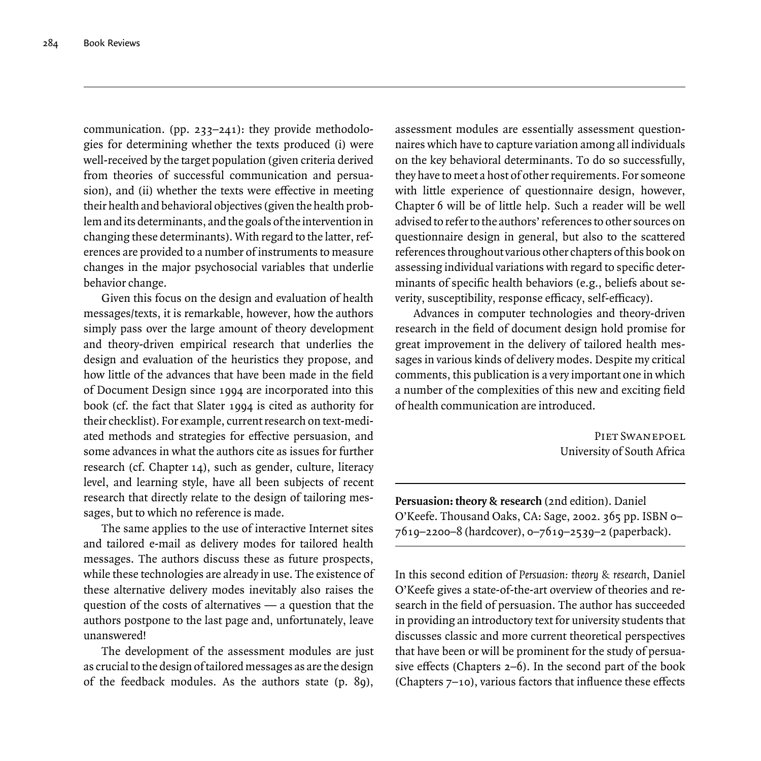communication. (pp. 233–241): they provide methodologies for determining whether the texts produced (i) were well-received by the target population (given criteria derived from theories of successful communication and persuasion), and (ii) whether the texts were effective in meeting their health and behavioral objectives (given the health problem and its determinants, and the goals of the intervention in changing these determinants). With regard to the latter, references are provided to a number of instruments to measure changes in the major psychosocial variables that underlie behavior change.

Given this focus on the design and evaluation of health messages/texts, it is remarkable, however, how the authors simply pass over the large amount of theory development and theory-driven empirical research that underlies the design and evaluation of the heuristics they propose, and how little of the advances that have been made in the field of Document Design since 1994 are incorporated into this book (cf. the fact that Slater 1994 is cited as authority for their checklist). For example, current research on text-mediated methods and strategies for effective persuasion, and some advances in what the authors cite as issues for further research (cf. Chapter 14), such as gender, culture, literacy level, and learning style, have all been subjects of recent research that directly relate to the design of tailoring messages, but to which no reference is made.

The same applies to the use of interactive Internet sites and tailored e-mail as delivery modes for tailored health messages. The authors discuss these as future prospects, while these technologies are already in use. The existence of these alternative delivery modes inevitably also raises the question of the costs of alternatives — a question that the authors postpone to the last page and, unfortunately, leave unanswered!

The development of the assessment modules are just as crucial to the design of tailored messages as are the design of the feedback modules. As the authors state (p. 89), assessment modules are essentially assessment questionnaires which have to capture variation among all individuals on the key behavioral determinants. To do so successfully, they have to meet a host of other requirements. For someone with little experience of questionnaire design, however, Chapter 6 will be of little help. Such a reader will be well advised to refer to the authors' references to other sources on questionnaire design in general, but also to the scattered references throughout various other chapters of this book on assessing individual variations with regard to specific determinants of specific health behaviors (e.g., beliefs about severity, susceptibility, response efficacy, self-efficacy).

Advances in computer technologies and theory-driven research in the field of document design hold promise for great improvement in the delivery of tailored health messages in various kinds of delivery modes. Despite my critical comments, this publication is a very important one in which a number of the complexities of this new and exciting field of health communication are introduced.

> Piet Swanepoel University of South Africa

**Persuasion: theory & research** (2nd edition). Daniel O'Keefe. Thousand Oaks, CA: Sage, 2002. 365 pp. ISBN 0– 7619–2200–8 (hardcover), 0–7619–2539–2 (paperback).

In this second edition of *Persuasion: theory & research*, Daniel O'Keefe gives a state-of-the-art overview of theories and research in the field of persuasion. The author has succeeded in providing an introductory text for university students that discusses classic and more current theoretical perspectives that have been or will be prominent for the study of persuasive effects (Chapters  $2-6$ ). In the second part of the book (Chapters  $7-10$ ), various factors that influence these effects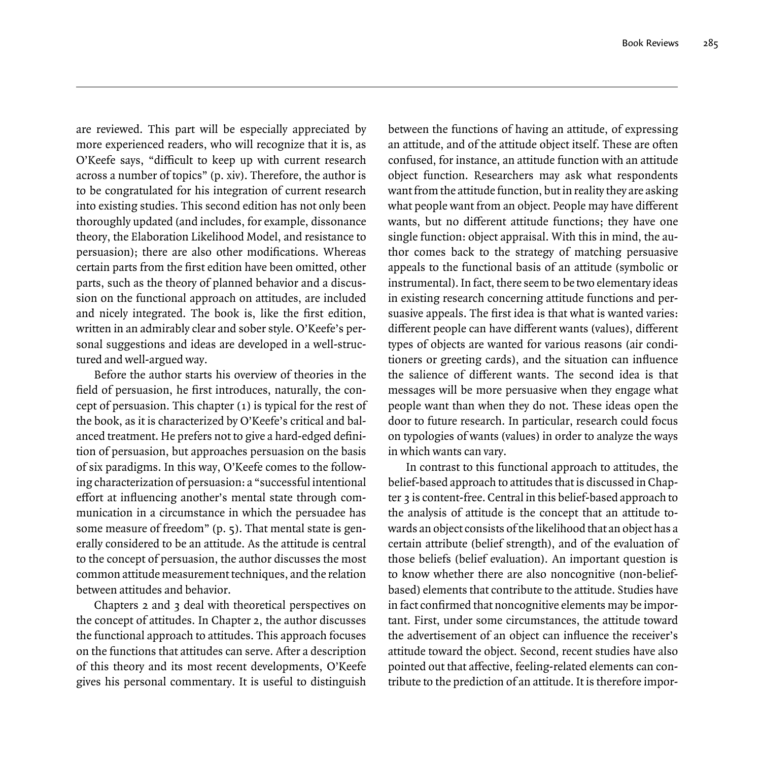are reviewed. This part will be especially appreciated by more experienced readers, who will recognize that it is, as O'Keefe says, "difficult to keep up with current research across a number of topics" (p. xiv). Therefore, the author is to be congratulated for his integration of current research into existing studies. This second edition has not only been thoroughly updated (and includes, for example, dissonance theory, the Elaboration Likelihood Model, and resistance to persuasion); there are also other modifications. Whereas certain parts from the first edition have been omitted, other parts, such as the theory of planned behavior and a discussion on the functional approach on attitudes, are included and nicely integrated. The book is, like the first edition, written in an admirably clear and sober style. O'Keefe's personal suggestions and ideas are developed in a well-structured and well-argued way.

Before the author starts his overview of theories in the field of persuasion, he first introduces, naturally, the concept of persuasion. This chapter (1) is typical for the rest of the book, as it is characterized by O'Keefe's critical and balanced treatment. He prefers not to give a hard-edged definition of persuasion, but approaches persuasion on the basis of six paradigms. In this way, O'Keefe comes to the following characterization of persuasion: a "successful intentional effort at influencing another's mental state through communication in a circumstance in which the persuadee has some measure of freedom" (p. 5). That mental state is generally considered to be an attitude. As the attitude is central to the concept of persuasion, the author discusses the most common attitude measurement techniques, and the relation between attitudes and behavior.

Chapters 2 and 3 deal with theoretical perspectives on the concept of attitudes. In Chapter 2, the author discusses the functional approach to attitudes. This approach focuses on the functions that attitudes can serve. After a description of this theory and its most recent developments, O'Keefe gives his personal commentary. It is useful to distinguish

between the functions of having an attitude, of expressing an attitude, and of the attitude object itself. These are often confused, for instance, an attitude function with an attitude object function. Researchers may ask what respondents want from the attitude function, but in reality they are asking what people want from an object. People may have different wants, but no different attitude functions; they have one single function: object appraisal. With this in mind, the author comes back to the strategy of matching persuasive appeals to the functional basis of an attitude (symbolic or instrumental). In fact, there seem to be two elementary ideas in existing research concerning attitude functions and persuasive appeals. The first idea is that what is wanted varies: different people can have different wants (values), different types of objects are wanted for various reasons (air conditioners or greeting cards), and the situation can influence the salience of different wants. The second idea is that messages will be more persuasive when they engage what people want than when they do not. These ideas open the door to future research. In particular, research could focus on typologies of wants (values) in order to analyze the ways in which wants can vary.

In contrast to this functional approach to attitudes, the belief-based approach to attitudes that is discussed in Chapter 3 is content-free. Central in this belief-based approach to the analysis of attitude is the concept that an attitude towards an object consists of the likelihood that an object has a certain attribute (belief strength), and of the evaluation of those beliefs (belief evaluation). An important question is to know whether there are also noncognitive (non-beliefbased) elements that contribute to the attitude. Studies have in fact confirmed that noncognitive elements may be important. First, under some circumstances, the attitude toward the advertisement of an object can influence the receiver's attitude toward the object. Second, recent studies have also pointed out that affective, feeling-related elements can contribute to the prediction of an attitude. It is therefore impor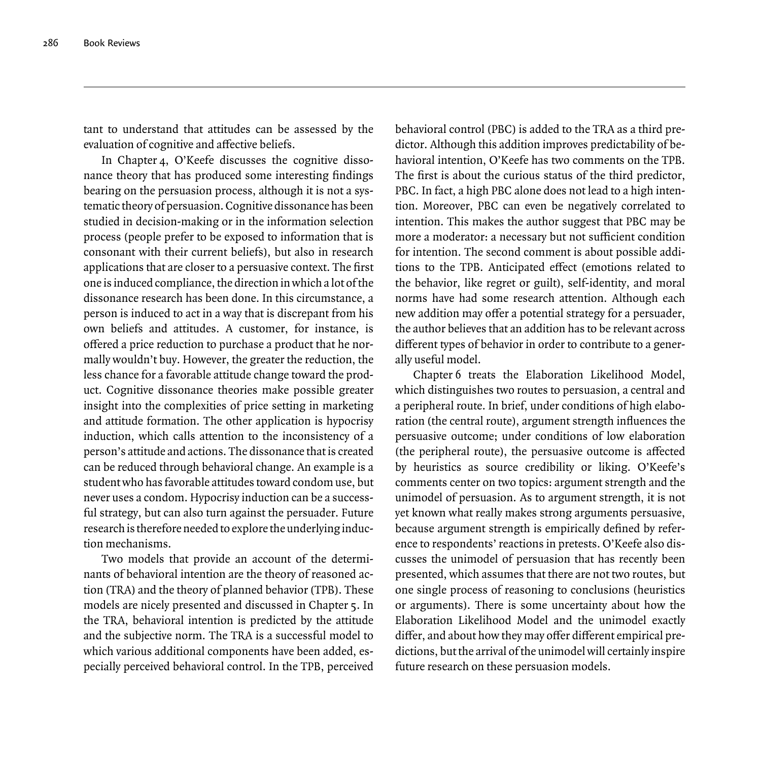tant to understand that attitudes can be assessed by the evaluation of cognitive and affective beliefs.

In Chapter 4, O'Keefe discusses the cognitive dissonance theory that has produced some interesting findings bearing on the persuasion process, although it is not a systematic theory of persuasion. Cognitive dissonance has been studied in decision-making or in the information selection process (people prefer to be exposed to information that is consonant with their current beliefs), but also in research applications that are closer to a persuasive context. The first one is induced compliance, the direction in which a lot of the dissonance research has been done. In this circumstance, a person is induced to act in a way that is discrepant from his own beliefs and attitudes. A customer, for instance, is offered a price reduction to purchase a product that he normally wouldn't buy. However, the greater the reduction, the less chance for a favorable attitude change toward the product. Cognitive dissonance theories make possible greater insight into the complexities of price setting in marketing and attitude formation. The other application is hypocrisy induction, which calls attention to the inconsistency of a person's attitude and actions. The dissonance that is created can be reduced through behavioral change. An example is a student who has favorable attitudes toward condom use, but never uses a condom. Hypocrisy induction can be a successful strategy, but can also turn against the persuader. Future research is therefore needed to explore the underlying induction mechanisms.

Two models that provide an account of the determinants of behavioral intention are the theory of reasoned action (TRA) and the theory of planned behavior (TPB). These models are nicely presented and discussed in Chapter 5. In the TRA, behavioral intention is predicted by the attitude and the subjective norm. The TRA is a successful model to which various additional components have been added, especially perceived behavioral control. In the TPB, perceived behavioral control (PBC) is added to the TRA as a third predictor. Although this addition improves predictability of behavioral intention, O'Keefe has two comments on the TPB. The first is about the curious status of the third predictor. PBC. In fact, a high PBC alone does not lead to a high intention. Moreover, PBC can even be negatively correlated to intention. This makes the author suggest that PBC may be more a moderator: a necessary but not sufficient condition for intention. The second comment is about possible additions to the TPB. Anticipated effect (emotions related to the behavior, like regret or guilt), self-identity, and moral norms have had some research attention. Although each new addition may offer a potential strategy for a persuader, the author believes that an addition has to be relevant across different types of behavior in order to contribute to a generally useful model.

Chapter 6 treats the Elaboration Likelihood Model, which distinguishes two routes to persuasion, a central and a peripheral route. In brief, under conditions of high elaboration (the central route), argument strength influences the persuasive outcome; under conditions of low elaboration (the peripheral route), the persuasive outcome is affected by heuristics as source credibility or liking. O'Keefe's comments center on two topics: argument strength and the unimodel of persuasion. As to argument strength, it is not yet known what really makes strong arguments persuasive, because argument strength is empirically defined by reference to respondents' reactions in pretests. O'Keefe also discusses the unimodel of persuasion that has recently been presented, which assumes that there are not two routes, but one single process of reasoning to conclusions (heuristics or arguments). There is some uncertainty about how the Elaboration Likelihood Model and the unimodel exactly differ, and about how they may offer different empirical predictions, but the arrival of the unimodel will certainly inspire future research on these persuasion models.